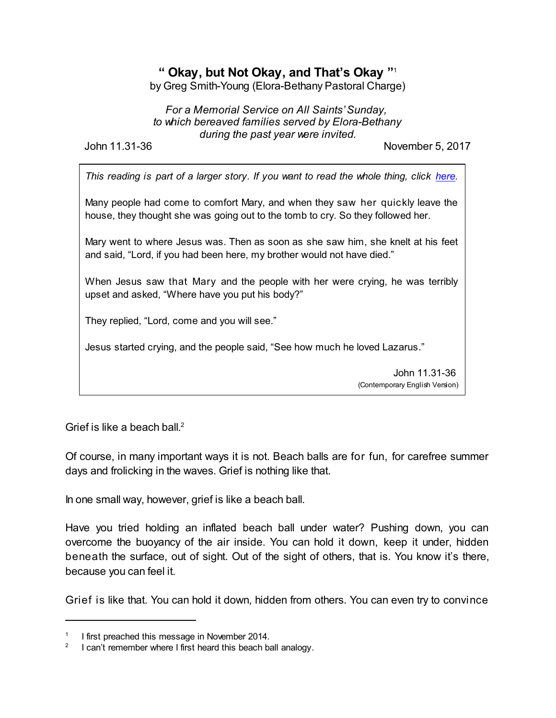## **" Okay, but Not Okay, and That's Okay "** 1

by Greg Smith-Young (Elora-Bethany Pastoral Charge)

*For a Memorial Service on All Saints'Sunday, to which bereaved families served by Elora-Bethany during the past year were invited.*

John 11.31-36 November 5, 2017

*This reading is part of a larger story. If you want to read the whole thing, click [here](https://www.biblegateway.com/passage/?search=John+11%3A1-44&version=CEV).*

Many people had come to comfort Mary, and when they saw her quickly leave the house, they thought she was going out to the tomb to cry. So they followed her.

Mary went to where Jesus was. Then as soon as she saw him, she knelt at his feet and said, "Lord, if you had been here, my brother would not have died."

When Jesus saw that Mary and the people with her were crying, he was terribly upset and asked, "Where have you put his body?"

They replied, "Lord, come and you will see."

Jesus started crying, and the people said, "See how much he loved Lazarus."

John 11.31-36 (Contemporary English Version)

Grief is like a beach ball.<sup>2</sup>

Of course, in many important ways it is not. Beach balls are for fun, for carefree summer days and frolicking in the waves. Grief is nothing like that.

In one small way, however, grief is like a beach ball.

Have you tried holding an inflated beach ball under water? Pushing down, you can overcome the buoyancy of the air inside. You can hold it down, keep it under, hidden beneath the surface, out of sight. Out of the sight of others, that is. You know it's there, because you can feel it.

Grief is like that. You can hold it down, hidden from others. You can even try to convince

<sup>1</sup> I first preached this message in November 2014.

<sup>2</sup> I can't remember where I first heard this beach ball analogy.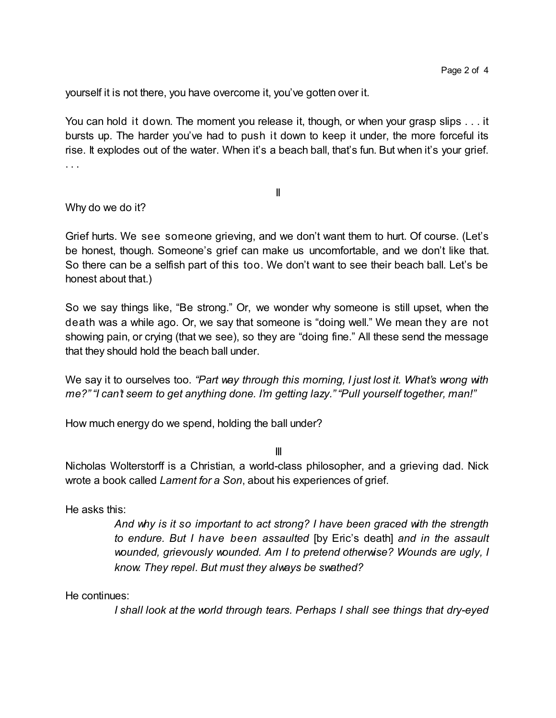yourself it is not there, you have overcome it, you've gotten over it.

You can hold it down. The moment you release it, though, or when your grasp slips . . . it bursts up. The harder you've had to push it down to keep it under, the more forceful its rise. It explodes out of the water. When it's a beach ball, that's fun. But when it's your grief. . . .

II

Why do we do it?

Grief hurts. We see someone grieving, and we don't want them to hurt. Of course. (Let's be honest, though. Someone's grief can make us uncomfortable, and we don't like that. So there can be a selfish part of this too. We don't want to see their beach ball. Let's be honest about that.)

So we say things like, "Be strong." Or, we wonder why someone is still upset, when the death was a while ago. Or, we say that someone is "doing well." We mean they are not showing pain, or crying (that we see), so they are "doing fine." All these send the message that they should hold the beach ball under.

We say it to ourselves too. *"Part way through this morning, I just lost it. What's wrong with me?" "I can't seem to get anything done. I'm getting lazy." "Pull yourself together, man!"*

How much energy do we spend, holding the ball under?

III

Nicholas Wolterstorff is a Christian, a world-class philosopher, and a grieving dad. Nick wrote a book called *Lament for a Son*, about his experiences of grief.

He asks this:

*And why is it so important to act strong? I have been graced with the strength to endure. But I have been assaulted* [by Eric's death] *and in the assault wounded, grievously wounded. Am I to pretend otherwise? Wounds are ugly, I know. They repel. But must they always be swathed?*

He continues:

*I shall look at the world through tears. Perhaps I shall see things that dry-eyed*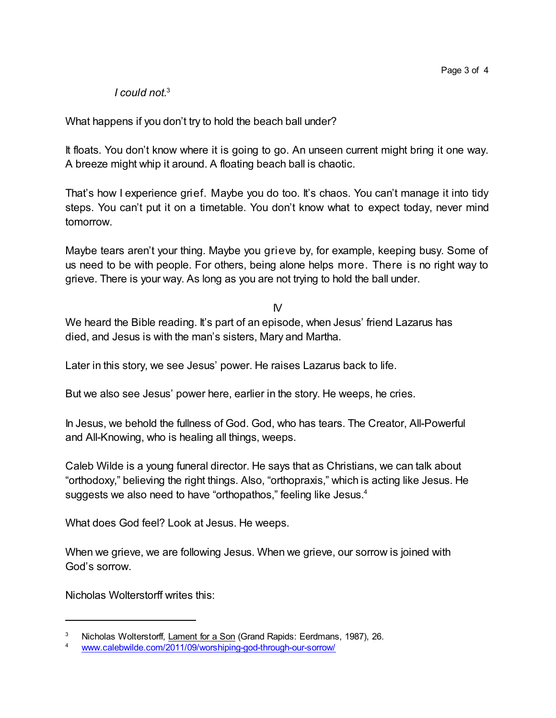*I could not.* 3

What happens if you don't try to hold the beach ball under?

It floats. You don't know where it is going to go. An unseen current might bring it one way. A breeze might whip it around. A floating beach ball is chaotic.

That's how I experience grief. Maybe you do too. It's chaos. You can't manage it into tidy steps. You can't put it on a timetable. You don't know what to expect today, never mind tomorrow.

Maybe tears aren't your thing. Maybe you grieve by, for example, keeping busy. Some of us need to be with people. For others, being alone helps more. There is no right way to grieve. There is your way. As long as you are not trying to hold the ball under.

IV

We heard the Bible reading. It's part of an episode, when Jesus' friend Lazarus has died, and Jesus is with the man's sisters, Mary and Martha.

Later in this story, we see Jesus' power. He raises Lazarus back to life.

But we also see Jesus' power here, earlier in the story. He weeps, he cries.

In Jesus, we behold the fullness of God. God, who has tears. The Creator, All-Powerful and All-Knowing, who is healing all things, weeps.

Caleb Wilde is a young funeral director. He says that as Christians, we can talk about "orthodoxy," believing the right things. Also, "orthopraxis," which is acting like Jesus. He suggests we also need to have "orthopathos," feeling like Jesus.<sup>4</sup>

What does God feel? Look at Jesus. He weeps.

When we grieve, we are following Jesus. When we grieve, our sorrow is joined with God's sorrow.

Nicholas Wolterstorff writes this:

Nicholas Wolterstorff, Lament for a Son (Grand Rapids: Eerdmans, 1987), 26.

[www.calebwilde.com/2011/09/worshiping-god-through-our-sorrow/](http://www.calebwilde.com/2011/09/worshiping-god-through-our-sorrow/)